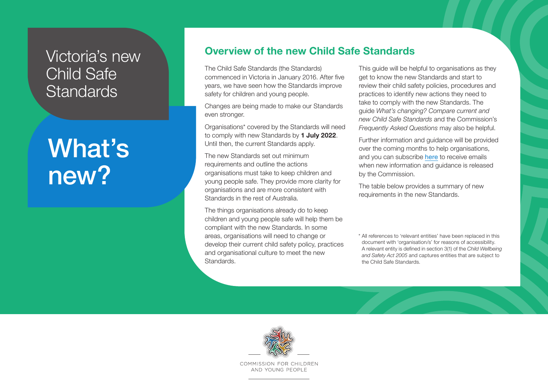## Victoria's new Child Safe **Standards**

# What's new?

### **Overview of the new Child Safe Standards**

The Child Safe Standards (the Standards) commenced in Victoria in January 2016. After five years, we have seen how the Standards improve safety for children and young people.

Changes are being made to make our Standards even stronger.

Organisations\* covered by the Standards will need to comply with new Standards by **1 July 2022**. Until then, the current Standards apply.

The new Standards set out minimum requirements and outline the actions organisations must take to keep children and young people safe. They provide more clarity for organisations and are more consistent with Standards in the rest of Australia.

The things organisations already do to keep children and young people safe will help them be compliant with the new Standards. In some areas, organisations will need to change or develop their current child safety policy, practices and organisational culture to meet the new Standards.

This guide will be helpful to organisations as they get to know the new Standards and start to review their child safety policies, procedures and practices to identify new actions they need to take to comply with the new Standards. The guide *What's changing? Compare current and new Child Safe Standards* and the Commission's *Frequently Asked Questions* may also be helpful.

Further information and guidance will be provided over the coming months to help organisations, and you can subscribe [here](https://ccyp.vic.gov.au/contact-us/sign-up-for-commission-updates/) to receive emails when new information and guidance is released by the Commission.

The table below provides a summary of new requirements in the new Standards.

\* All references to 'relevant entities' have been replaced in this document with 'organisation/s' for reasons of accessibility. A relevant entity is defined in section 3(1) of the *Child Wellbeing and Safety Act 2005* and captures entities that are subject to the Child Safe Standards.



COMMISSION FOR CHILDREN AND YOUNG PEOPLE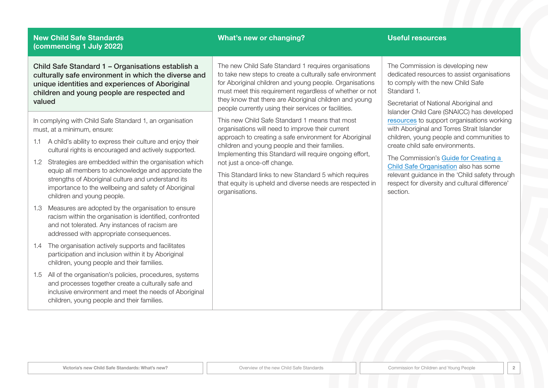#### **What's new or changing? Useful resources**

Child Safe Standard 1 – Organisations establish a culturally safe environment in which the diverse and unique identities and experiences of Aboriginal children and young people are respected and valued

In complying with Child Safe Standard 1, an organisation must, at a minimum, ensure:

- 1.1 A child's ability to express their culture and enjoy their cultural rights is encouraged and actively supported.
- 1.2 Strategies are embedded within the organisation which equip all members to acknowledge and appreciate the strengths of Aboriginal culture and understand its importance to the wellbeing and safety of Aboriginal children and young people.
- 1.3 Measures are adopted by the organisation to ensure racism within the organisation is identified, confronted and not tolerated. Any instances of racism are addressed with appropriate consequences.
- 1.4 The organisation actively supports and facilitates participation and inclusion within it by Aboriginal children, young people and their families.
- 1.5 All of the organisation's policies, procedures, systems and processes together create a culturally safe and inclusive environment and meet the needs of Aboriginal children, young people and their families.

The new Child Safe Standard 1 requires organisations to take new steps to create a culturally safe environment for Aboriginal children and young people. Organisations must meet this requirement regardless of whether or not they know that there are Aboriginal children and young people currently using their services or facilities.

This new Child Safe Standard 1 means that most organisations will need to improve their current approach to creating a safe environment for Aboriginal children and young people and their families. Implementing this Standard will require ongoing effort, not just a once-off change.

This Standard links to new Standard 5 which requires that equity is upheld and diverse needs are respected in organisations.

The Commission is developing new dedicated resources to assist organisations to comply with the new Child Safe Standard 1.

Secretariat of National Aboriginal and Islander Child Care (SNAICC) has developed [resources](https://www.snaicc.org.au/policy-and-research/child-safety-and-wellbeing/keeping-our-kids-safe/) to support organisations working with Aboriginal and Torres Strait Islander children, young people and communities to create child safe environments.

The Commission's [Guide for Creating a](https://ccyp.vic.gov.au/assets/resources/CSSGuideFinalV4-Web-New.pdf)  [Child Safe Organisation](https://ccyp.vic.gov.au/assets/resources/CSSGuideFinalV4-Web-New.pdf) also has some relevant guidance in the 'Child safety through respect for diversity and cultural difference' section.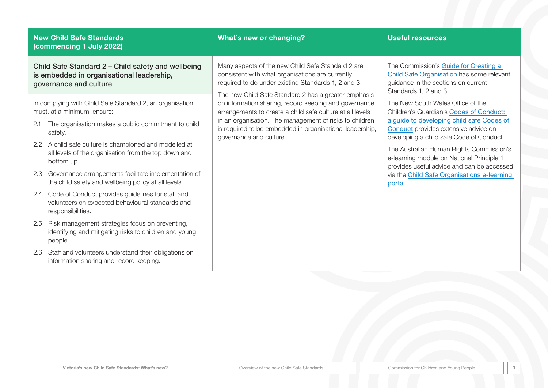### **What's new or changing? Useful resources**

Child Safe Standard 2 – Child safety and wellbeing is embedded in organisational leadership, governance and culture

In complying with Child Safe Standard 2, an organisation must, at a minimum, ensure:

- 2.1 The organisation makes a public commitment to child safety.
- 2.2 A child safe culture is championed and modelled at all levels of the organisation from the top down and bottom up.
- 2.3 Governance arrangements facilitate implementation of the child safety and wellbeing policy at all levels.
- 2.4 Code of Conduct provides guidelines for staff and volunteers on expected behavioural standards and responsibilities.
- 2.5 Risk management strategies focus on preventing, identifying and mitigating risks to children and young people.
- 2.6 Staff and volunteers understand their obligations on information sharing and record keeping.

Many aspects of the new Child Safe Standard 2 are consistent with what organisations are currently required to do under existing Standards 1, 2 and 3.

The new Child Safe Standard 2 has a greater emphasis on information sharing, record keeping and governance arrangements to create a child safe culture at all levels in an organisation. The management of risks to children is required to be embedded in organisational leadership, governance and culture.

The Commission's [Guide for Creating a](https://ccyp.vic.gov.au/assets/resources/CSSGuideFinalV4-Web-New.pdf)  [Child Safe Organisation](https://ccyp.vic.gov.au/assets/resources/CSSGuideFinalV4-Web-New.pdf) has some relevant guidance in the sections on current Standards 1, 2 and 3.

The New South Wales Office of the Children's Guardian's [Codes of Conduct:](https://www.kidsguardian.nsw.gov.au/child-safe-organisations/training-and-resources/child-safe-resources/code-of-conduct)  [a guide to developing child safe Codes of](https://www.kidsguardian.nsw.gov.au/child-safe-organisations/training-and-resources/child-safe-resources/code-of-conduct)  [Conduct](https://www.kidsguardian.nsw.gov.au/child-safe-organisations/training-and-resources/child-safe-resources/code-of-conduct) provides extensive advice on developing a child safe Code of Conduct.

The Australian Human Rights Commission's e-learning module on National Principle 1 provides useful advice and can be accessed via the [Child Safe Organisations e-learning](https://childsafe.humanrights.gov.au/learning-hub/e-learning-modules)  [portal](https://childsafe.humanrights.gov.au/learning-hub/e-learning-modules).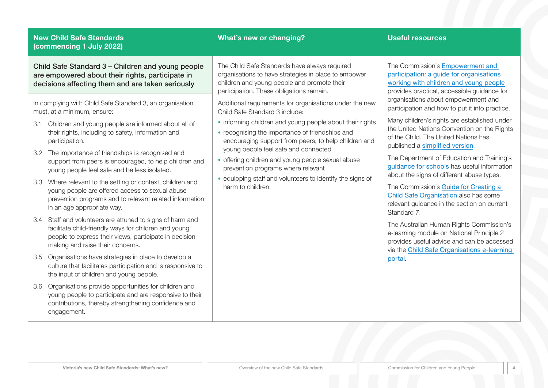### **What's new or changing? Useful resources**

Child Safe Standard 3 – Children and young people are empowered about their rights, participate in decisions affecting them and are taken seriously

In complying with Child Safe Standard 3, an organisation must, at a minimum, ensure:

- 3.1 Children and young people are informed about all of their rights, including to safety, information and participation.
- 3.2 The importance of friendships is recognised and support from peers is encouraged, to help children and young people feel safe and be less isolated.
- 3.3 Where relevant to the setting or context, children and young people are offered access to sexual abuse prevention programs and to relevant related information in an age appropriate way.
- 3.4 Staff and volunteers are attuned to signs of harm and facilitate child-friendly ways for children and young people to express their views, participate in decisionmaking and raise their concerns.
- 3.5 Organisations have strategies in place to develop a culture that facilitates participation and is responsive to the input of children and young people.
- 3.6 Organisations provide opportunities for children and young people to participate and are responsive to their contributions, thereby strengthening confidence and engagement.

The Child Safe Standards have always required organisations to have strategies in place to empower children and young people and promote their participation. These obligations remain.

Additional requirements for organisations under the new Child Safe Standard 3 include:

- informing children and young people about their rights
- recognising the importance of friendships and encouraging support from peers, to help children and young people feel safe and connected
- offering children and young people sexual abuse prevention programs where relevant
- equipping staff and volunteers to identify the signs of harm to children.

The Commission's [Empowerment and](https://ccyp.vic.gov.au/assets/resources/Empowerment-and-Participation-Guide/CCYP-Empowerment-and-participation-guide-for-Web.pdf)  [participation: a guide for organisations](https://ccyp.vic.gov.au/assets/resources/Empowerment-and-Participation-Guide/CCYP-Empowerment-and-participation-guide-for-Web.pdf)  [working with children and young people](https://ccyp.vic.gov.au/assets/resources/Empowerment-and-Participation-Guide/CCYP-Empowerment-and-participation-guide-for-Web.pdf) provides practical, accessible guidance for organisations about empowerment and participation and how to put it into practice.

Many children's rights are established under the United Nations Convention on the Rights of the Child. The United Nations has published a [simplified version](https://www.unicef.org.au/our-work/information-for-children/un-convention-on-the-rights-of-the-child).

The Department of Education and Training's [guidance for schools](https://www.education.vic.gov.au/school/teachers/health/childprotection/Pages/identify.aspx) has useful information about the signs of different abuse types.

The Commission's [Guide for Creating a](https://ccyp.vic.gov.au/assets/resources/CSSGuideFinalV4-Web-New.pdf)  [Child Safe Organisation](https://ccyp.vic.gov.au/assets/resources/CSSGuideFinalV4-Web-New.pdf) also has some relevant guidance in the section on current Standard 7.

The Australian Human Rights Commission's e-learning module on National Principle 2 provides useful advice and can be accessed via the [Child Safe Organisations e-learning](https://childsafe.humanrights.gov.au/learning-hub/e-learning-modules)  [portal](https://childsafe.humanrights.gov.au/learning-hub/e-learning-modules).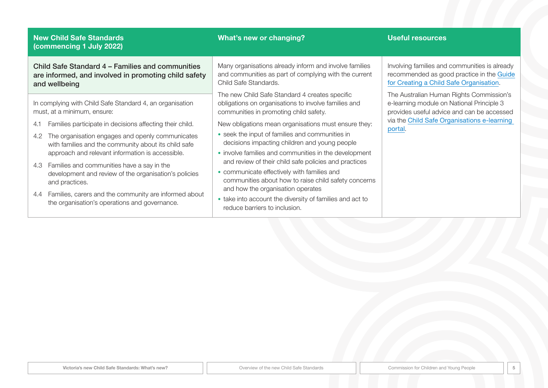### **What's new or changing? Useful resources**

Child Safe Standard 4 – Families and communities are informed, and involved in promoting child safety and wellbeing

In complying with Child Safe Standard 4, an organisation must, at a minimum, ensure:

- 4.1 Families participate in decisions affecting their child.
- 4.2 The organisation engages and openly communicates with families and the community about its child safe approach and relevant information is accessible.
- 4.3 Families and communities have a say in the development and review of the organisation's policies and practices.
- 4.4 Families, carers and the community are informed about the organisation's operations and governance.

Many organisations already inform and involve families and communities as part of complying with the current Child Safe Standards.

The new Child Safe Standard 4 creates specific obligations on organisations to involve families and communities in promoting child safety.

New obligations mean organisations must ensure they:

- seek the input of families and communities in decisions impacting children and young people
- involve families and communities in the development and review of their child safe policies and practices
- communicate effectively with families and communities about how to raise child safety concerns and how the organisation operates
- take into account the diversity of families and act to reduce barriers to inclusion.

Involving families and communities is already recommended as good practice in the [Guide](https://ccyp.vic.gov.au/assets/resources/CSSGuideFinalV4-Web-New.pdf) [for Creating a Child Safe Organisation](https://ccyp.vic.gov.au/assets/resources/CSSGuideFinalV4-Web-New.pdf).

The Australian Human Rights Commission's e-learning module on National Principle 3 provides useful advice and can be accessed via the [Child Safe Organisations e-learning](https://childsafe.humanrights.gov.au/learning-hub/e-learning-modules)  [portal](https://childsafe.humanrights.gov.au/learning-hub/e-learning-modules).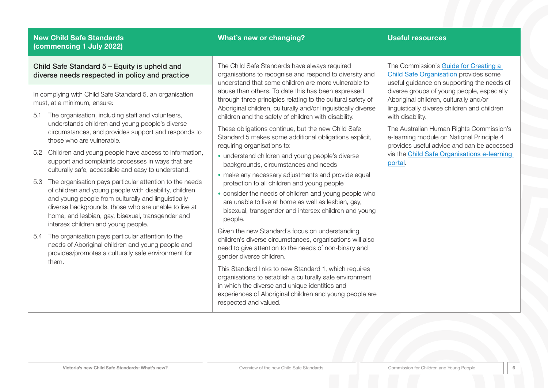### **What's new or changing? Useful resources**

Child Safe Standard 5 – Equity is upheld and diverse needs respected in policy and practice

In complying with Child Safe Standard 5, an organisation must, at a minimum, ensure:

- 5.1 The organisation, including staff and volunteers, understands children and young people's diverse circumstances, and provides support and responds to those who are vulnerable.
- 5.2 Children and young people have access to information, support and complaints processes in ways that are culturally safe, accessible and easy to understand.
- 5.3 The organisation pays particular attention to the needs of children and young people with disability, children and young people from culturally and linguistically diverse backgrounds, those who are unable to live at home, and lesbian, gay, bisexual, transgender and intersex children and young people.
- 5.4 The organisation pays particular attention to the needs of Aboriginal children and young people and provides/promotes a culturally safe environment for them.

The Child Safe Standards have always required organisations to recognise and respond to diversity and understand that some children are more vulnerable to abuse than others. To date this has been expressed through three principles relating to the cultural safety of Aboriginal children, culturally and/or linguistically diverse children and the safety of children with disability.

These obligations continue, but the new Child Safe Standard 5 makes some additional obligations explicit, requiring organisations to:

- understand children and young people's diverse backgrounds, circumstances and needs
- make any necessary adjustments and provide equal protection to all children and young people
- consider the needs of children and young people who are unable to live at home as well as lesbian, gay, bisexual, transgender and intersex children and young people.

Given the new Standard's focus on understanding children's diverse circumstances, organisations will also need to give attention to the needs of non-binary and gender diverse children.

This Standard links to new Standard 1, which requires organisations to establish a culturally safe environment in which the diverse and unique identities and experiences of Aboriginal children and young people are respected and valued.

The Commission's [Guide for Creating a](https://ccyp.vic.gov.au/assets/resources/CSSGuideFinalV4-Web-New.pdf)  [Child Safe Organisation](https://ccyp.vic.gov.au/assets/resources/CSSGuideFinalV4-Web-New.pdf) provides some useful guidance on supporting the needs of diverse groups of young people, especially Aboriginal children, culturally and/or linguistically diverse children and children with disability.

The Australian Human Rights Commission's e-learning module on National Principle 4 provides useful advice and can be accessed via the [Child Safe Organisations e-learning](https://childsafe.humanrights.gov.au/learning-hub/e-learning-modules)  [portal](https://childsafe.humanrights.gov.au/learning-hub/e-learning-modules).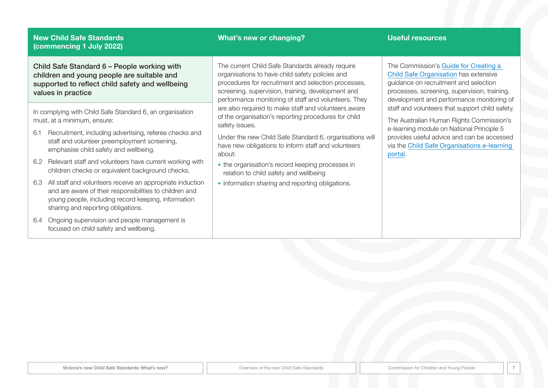Child Safe Standard 6 – People working with children and young people are suitable and supported to reflect child safety and wellbeing values in practice

In complying with Child Safe Standard 6, an organisation must, at a minimum, ensure:

- 6.1 Recruitment, including advertising, referee checks and staff and volunteer preemployment screening, emphasise child safety and wellbeing.
- 6.2 Relevant staff and volunteers have current working with children checks or equivalent background checks.
- 6.3 All staff and volunteers receive an appropriate induction and are aware of their responsibilities to children and young people, including record keeping, information sharing and reporting obligations.
- 6.4 Ongoing supervision and people management is focused on child safety and wellbeing.

### **What's new or changing? Useful resources**

The current Child Safe Standards already require organisations to have child safety policies and procedures for recruitment and selection processes, screening, supervision, training, development and performance monitoring of staff and volunteers. They are also required to make staff and volunteers aware of the organisation's reporting procedures for child safety issues.

Under the new Child Safe Standard 6, organisations will have new obligations to inform staff and volunteers about:

- the organisation's record keeping processes in relation to child safety and wellbeing
- information sharing and reporting obligations.

The Commission's [Guide for Creating a](https://ccyp.vic.gov.au/assets/resources/CSSGuideFinalV4-Web-New.pdf)  **[Child Safe Organisation](https://ccyp.vic.gov.au/assets/resources/CSSGuideFinalV4-Web-New.pdf) has extensive** guidance on recruitment and selection processes, screening, supervision, training, development and performance monitoring of staff and volunteers that support child safety.

The Australian Human Rights Commission's e-learning module on National Principle 5 provides useful advice and can be accessed via the [Child Safe Organisations e-learning](https://childsafe.humanrights.gov.au/learning-hub/e-learning-modules)  [portal](https://childsafe.humanrights.gov.au/learning-hub/e-learning-modules).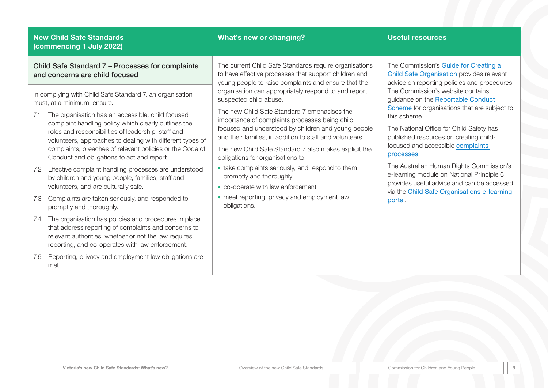### **What's new or changing? Useful resources**

Child Safe Standard 7 – Processes for complaints and concerns are child focused

In complying with Child Safe Standard 7, an organisation must, at a minimum, ensure:

- 7.1 The organisation has an accessible, child focused complaint handling policy which clearly outlines the roles and responsibilities of leadership, staff and volunteers, approaches to dealing with different types of complaints, breaches of relevant policies or the Code of Conduct and obligations to act and report.
- 7.2 Effective complaint handling processes are understood by children and young people, families, staff and volunteers, and are culturally safe.
- 7.3 Complaints are taken seriously, and responded to promptly and thoroughly.
- 7.4 The organisation has policies and procedures in place that address reporting of complaints and concerns to relevant authorities, whether or not the law requires reporting, and co-operates with law enforcement.
- 7.5 Reporting, privacy and employment law obligations are met.

The current Child Safe Standards require organisations to have effective processes that support children and young people to raise complaints and ensure that the organisation can appropriately respond to and report suspected child abuse.

The new Child Safe Standard 7 emphasises the importance of complaints processes being child focused and understood by children and young people and their families, in addition to staff and volunteers.

The new Child Safe Standard 7 also makes explicit the obligations for organisations to:

- take complaints seriously, and respond to them promptly and thoroughly
- co-operate with law enforcement
- meet reporting, privacy and employment law obligations.

The Commission's [Guide for Creating a](https://ccyp.vic.gov.au/assets/resources/CSSGuideFinalV4-Web-New.pdf)  [Child Safe Organisation](https://ccyp.vic.gov.au/assets/resources/CSSGuideFinalV4-Web-New.pdf) provides relevant advice on reporting policies and procedures. The Commission's website contains guidance on the [Reportable Conduct](https://ccyp.vic.gov.au/reportable-conduct-scheme/)  [Scheme](https://ccyp.vic.gov.au/reportable-conduct-scheme/) for organisations that are subject to this scheme.

The National Office for Child Safety has published resources on creating childfocused and accessible [complaints](https://childsafety.pmc.gov.au/sites/default/files/2020-09/nocs-complaint-handling-reference-guide.pdf)  [processes](https://childsafety.pmc.gov.au/sites/default/files/2020-09/nocs-complaint-handling-reference-guide.pdf).

The Australian Human Rights Commission's e-learning module on National Principle 6 provides useful advice and can be accessed via the [Child Safe Organisations e-learning](https://childsafe.humanrights.gov.au/learning-hub/e-learning-modules)  [portal](https://childsafe.humanrights.gov.au/learning-hub/e-learning-modules).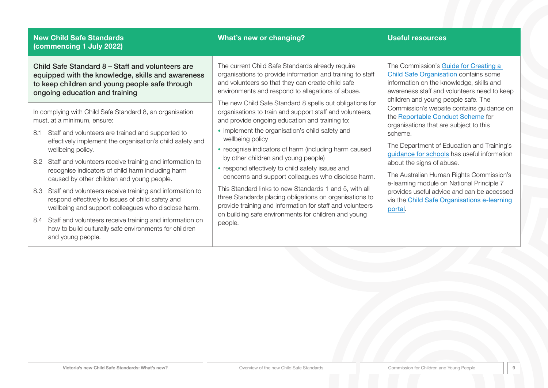#### **What's new or changing? Useful resources**

Child Safe Standard 8 – Staff and volunteers are equipped with the knowledge, skills and awareness to keep children and young people safe through ongoing education and training

In complying with Child Safe Standard 8, an organisation must, at a minimum, ensure:

- 8.1 Staff and volunteers are trained and supported to effectively implement the organisation's child safety and wellbeing policy.
- 8.2 Staff and volunteers receive training and information to recognise indicators of child harm including harm caused by other children and young people.
- 8.3 Staff and volunteers receive training and information to respond effectively to issues of child safety and wellbeing and support colleagues who disclose harm.
- 8.4 Staff and volunteers receive training and information on how to build culturally safe environments for children and young people.

The current Child Safe Standards already require organisations to provide information and training to staff and volunteers so that they can create child safe environments and respond to allegations of abuse.

The new Child Safe Standard 8 spells out obligations for organisations to train and support staff and volunteers, and provide ongoing education and training to:

- implement the organisation's child safety and wellbeing policy
- recognise indicators of harm (including harm caused by other children and young people)
- respond effectively to child safety issues and concerns and support colleagues who disclose harm.

This Standard links to new Standards 1 and 5, with all three Standards placing obligations on organisations to provide training and information for staff and volunteers on building safe environments for children and young people.

The Commission's [Guide for Creating a](https://ccyp.vic.gov.au/assets/resources/CSSGuideFinalV4-Web-New.pdf)  [Child Safe Organisation](https://ccyp.vic.gov.au/assets/resources/CSSGuideFinalV4-Web-New.pdf) contains some information on the knowledge, skills and awareness staff and volunteers need to keep children and young people safe. The Commission's website contains guidance on the [Reportable Conduct Scheme](https://ccyp.vic.gov.au/reportable-conduct-scheme/) for organisations that are subject to this scheme.

The Department of Education and Training's [guidance for schools](https://www.education.vic.gov.au/school/teachers/health/childprotection/Pages/identify.aspx) has useful information about the signs of abuse.

The Australian Human Rights Commission's e-learning module on National Principle 7 provides useful advice and can be accessed via the [Child Safe Organisations e-learning](https://childsafe.humanrights.gov.au/learning-hub/e-learning-modules)  [portal](https://childsafe.humanrights.gov.au/learning-hub/e-learning-modules).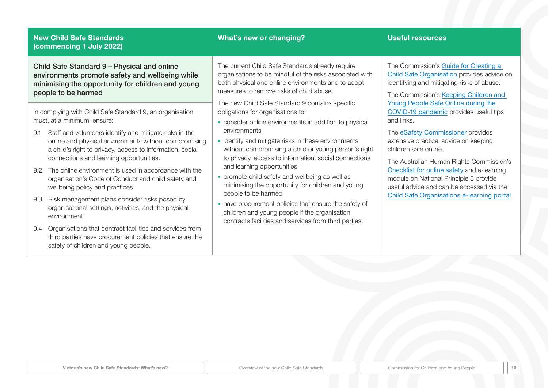### **What's new or changing? Useful resources**

Child Safe Standard 9 – Physical and online environments promote safety and wellbeing while minimising the opportunity for children and young people to be harmed

In complying with Child Safe Standard 9, an organisation must, at a minimum, ensure:

- 9.1 Staff and volunteers identify and mitigate risks in the online and physical environments without compromising a child's right to privacy, access to information, social connections and learning opportunities.
- 9.2 The online environment is used in accordance with the organisation's Code of Conduct and child safety and wellbeing policy and practices.
- 9.3 Risk management plans consider risks posed by organisational settings, activities, and the physical environment.
- 9.4 Organisations that contract facilities and services from third parties have procurement policies that ensure the safety of children and young people.

The current Child Safe Standards already require organisations to be mindful of the risks associated with both physical and online environments and to adopt measures to remove risks of child abuse.

The new Child Safe Standard 9 contains specific obligations for organisations to:

- consider online environments in addition to physical environments
- identify and mitigate risks in these environments without compromising a child or young person's right to privacy, access to information, social connections and learning opportunities
- promote child safety and wellbeing as well as minimising the opportunity for children and young people to be harmed
- have procurement policies that ensure the safety of children and young people if the organisation contracts facilities and services from third parties.

The Commission's [Guide for Creating a](https://ccyp.vic.gov.au/assets/resources/CSSGuideFinalV4-Web-New.pdf)  [Child Safe Organisation](https://ccyp.vic.gov.au/assets/resources/CSSGuideFinalV4-Web-New.pdf) provides advice on identifying and mitigating risks of abuse.

The Commission's [Keeping Children and](https://ccyp.vic.gov.au/news/online-safety-covid-19/)  [Young People Safe Online during the](https://ccyp.vic.gov.au/news/online-safety-covid-19/)  [COVID-19 pandemic](https://ccyp.vic.gov.au/news/online-safety-covid-19/) provides useful tips and links.

The [eSafety Commissioner](https://www.esafety.gov.au/) provides extensive practical advice on keeping children safe online.

The Australian Human Rights Commission's [Checklist for online safety](https://childsafe.humanrights.gov.au/sites/default/files/inline-files/CSO%20Checklist%20for%20online%20safety_2.pdf) and e-learning module on National Principle 8 provide useful advice and can be accessed via the [Child Safe Organisations e-learning portal](https://childsafe.humanrights.gov.au/learning-hub/e-learning-modules).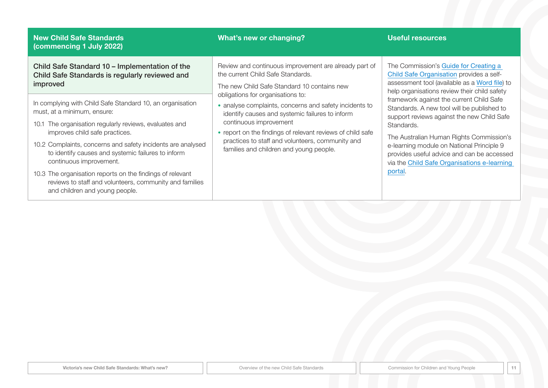| <b>New Child Safe Standards</b><br>(commencing 1 July 2022)                                                                                                                                                                                                                                                                                                                                                                                                                                    | What's new or changing?                                                                                                                                                                                                                                                                                                                                                                                                                                                            | <b>Useful resources</b>                                                                                                                                                                                                                                                                                                                                                                                                                                                                                                                   |
|------------------------------------------------------------------------------------------------------------------------------------------------------------------------------------------------------------------------------------------------------------------------------------------------------------------------------------------------------------------------------------------------------------------------------------------------------------------------------------------------|------------------------------------------------------------------------------------------------------------------------------------------------------------------------------------------------------------------------------------------------------------------------------------------------------------------------------------------------------------------------------------------------------------------------------------------------------------------------------------|-------------------------------------------------------------------------------------------------------------------------------------------------------------------------------------------------------------------------------------------------------------------------------------------------------------------------------------------------------------------------------------------------------------------------------------------------------------------------------------------------------------------------------------------|
| Child Safe Standard 10 - Implementation of the<br>Child Safe Standards is regularly reviewed and<br>improved                                                                                                                                                                                                                                                                                                                                                                                   | Review and continuous improvement are already part of<br>the current Child Safe Standards.<br>The new Child Safe Standard 10 contains new<br>obligations for organisations to:<br>• analyse complaints, concerns and safety incidents to<br>identify causes and systemic failures to inform<br>continuous improvement<br>• report on the findings of relevant reviews of child safe<br>practices to staff and volunteers, community and<br>families and children and young people. | The Commission's Guide for Creating a<br>Child Safe Organisation provides a self-<br>assessment tool (available as a Word file) to<br>help organisations review their child safety<br>framework against the current Child Safe<br>Standards. A new tool will be published to<br>support reviews against the new Child Safe<br>Standards.<br>The Australian Human Rights Commission's<br>e-learning module on National Principle 9<br>provides useful advice and can be accessed<br>via the Child Safe Organisations e-learning<br>portal. |
| In complying with Child Safe Standard 10, an organisation<br>must, at a minimum, ensure:<br>10.1 The organisation regularly reviews, evaluates and<br>improves child safe practices.<br>10.2 Complaints, concerns and safety incidents are analysed<br>to identify causes and systemic failures to inform<br>continuous improvement.<br>10.3 The organisation reports on the findings of relevant<br>reviews to staff and volunteers, community and families<br>and children and young people. |                                                                                                                                                                                                                                                                                                                                                                                                                                                                                    |                                                                                                                                                                                                                                                                                                                                                                                                                                                                                                                                           |